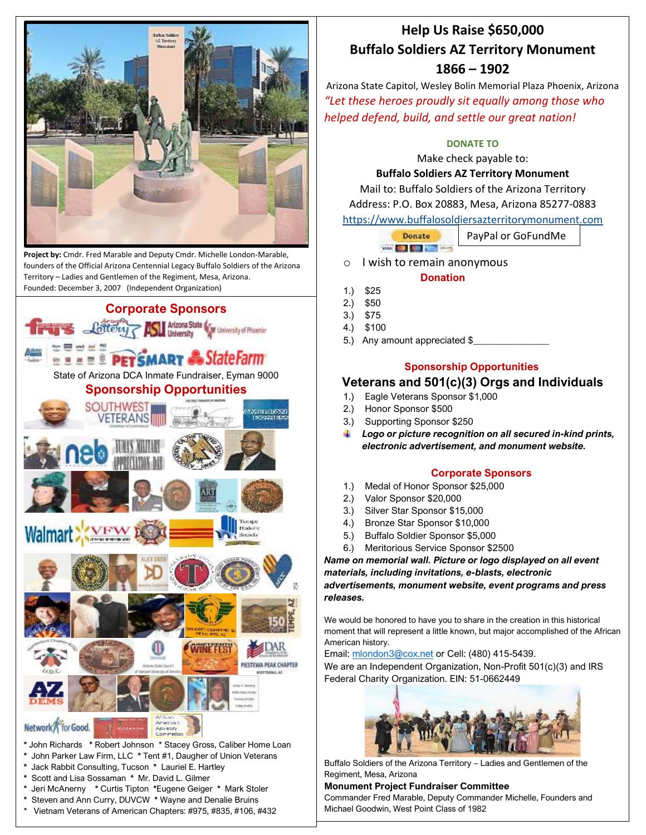

 **Project by:** Cmdr. Fred Marable and Deputy Cmdr. Michelle London-Marable, founders of the Official Arizona Centennial Legacy Buffalo Soldiers of the Arizona Territory – Ladies and Gentlemen of the Regiment, Mesa, Arizona. Founded: December 3, 2007 (Independent Organization)



# **Help Us Raise \$650,000 Buffalo Soldiers AZ Territory Monument 1866 – 1902**

Arizona State Capitol, Wesley Bolin Memorial Plaza Phoenix, Arizona *"Let these heroes proudly sit equally among those who helped defend, build, and settle our great nation!*

## **DONATE TO**

Make check payable to:

### **Buffalo Soldiers AZ Territory Monument**

Mail to: Buffalo Soldiers of the Arizona Territory Address: P.O. Box 20883, Mesa, Arizona 85277-0883 [https://www.buffalosoldiersazterritorymonument.com](https://www.buffalosoldiersazterritorymonument.com/)

> Donate PayPal or GoFundMe **WALK COLLECTION**

o I wish to remain anonymous

#### **Donation**

- 1.) \$25
- 2.) \$50
- 3.) \$75
- 4.) \$100
- 5.) Any amount appreciated \$

# **Sponsorship Opportunities**

# **Veterans and 501(c)(3) Orgs and Individuals**

- 1.) Eagle Veterans Sponsor \$1,000
- 2.) Honor Sponsor \$500
- 3.) Supporting Sponsor \$250
- *Logo or picture recognition on all secured in-kind prints, electronic advertisement, and monument website.*

#### **Corporate Sponsors**

- 1.) Medal of Honor Sponsor \$25,000
- 2.) Valor Sponsor \$20,000
- 3.) Silver Star Sponsor \$15,000
- 4.) Bronze Star Sponsor \$10,000
- 5.) Buffalo Soldier Sponsor \$5,000
- 6.) Meritorious Service Sponsor \$2500

*Name on memorial wall. Picture or logo displayed on all event materials, including invitations, e-blasts, electronic advertisements, monument website, event programs and press releases.*

We would be honored to have you to share in the creation in this historical moment that will represent a little known, but major accomplished of the African American history.

Email: [mlondon3@cox.net](mailto:mlondon3@cox.net) or Cell: (480) 415-5439.

We are an Independent Organization, Non-Profit 501(c)(3) and IRS Federal Charity Organization. EIN: 51-0662449



Buffalo Soldiers of the Arizona Territory – Ladies and Gentlemen of the Regiment, Mesa, Arizona

#### **Monument Project Fundraiser Committee**

Commander Fred Marable, Deputy Commander Michelle, Founders and Michael Goodwin, West Point Class of 1982

Vietnam Veterans of American Chapters: #975, #835, #106, #432